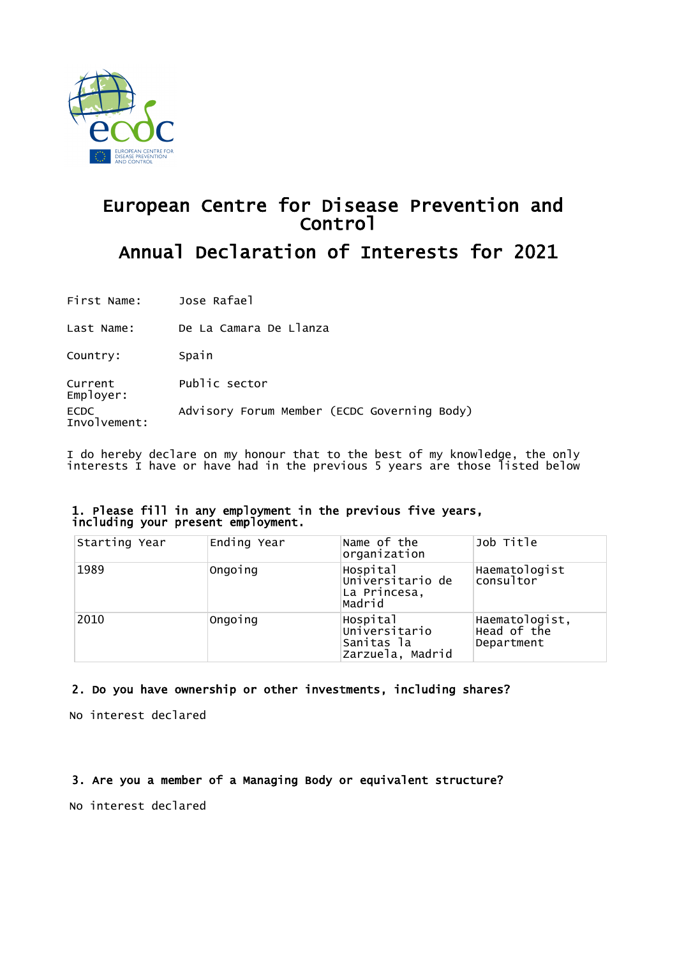

# European Centre for Disease Prevention and Control Annual Declaration of Interests for 2021

First Name: Jose Rafael

Last Name: De La Camara De Llanza

Country: Spain

Current Employer: Public sector

ECDC Advisory Forum Member (ECDC Governing Body)

Involvement:

I do hereby declare on my honour that to the best of my knowledge, the only interests I have or have had in the previous 5 years are those listed below

#### 1. Please fill in any employment in the previous five years, including your present employment.

| Starting Year | Ending Year | Name of the<br>organization                                 | Job Title                                   |
|---------------|-------------|-------------------------------------------------------------|---------------------------------------------|
| 1989          | Ongoing     | Hospital<br>Universitario de<br>La Princesa,<br>Madrid      | Haematologist<br>consultor                  |
| 2010          | Ongoing     | Hospital<br>Universitario<br>Sanitas la<br>Zarzuela, Madrid | Haematologist,<br>Head of the<br>Department |

### 2. Do you have ownership or other investments, including shares?

No interest declared

3. Are you a member of a Managing Body or equivalent structure?

No interest declared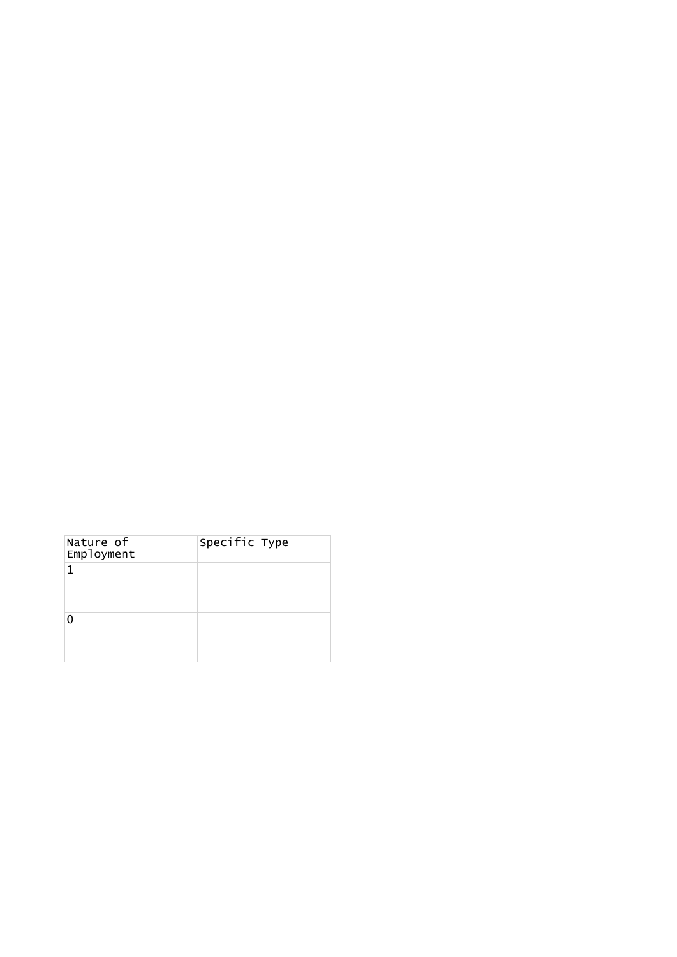| Nature of<br>Employment | Specific Type |
|-------------------------|---------------|
| 1                       |               |
|                         |               |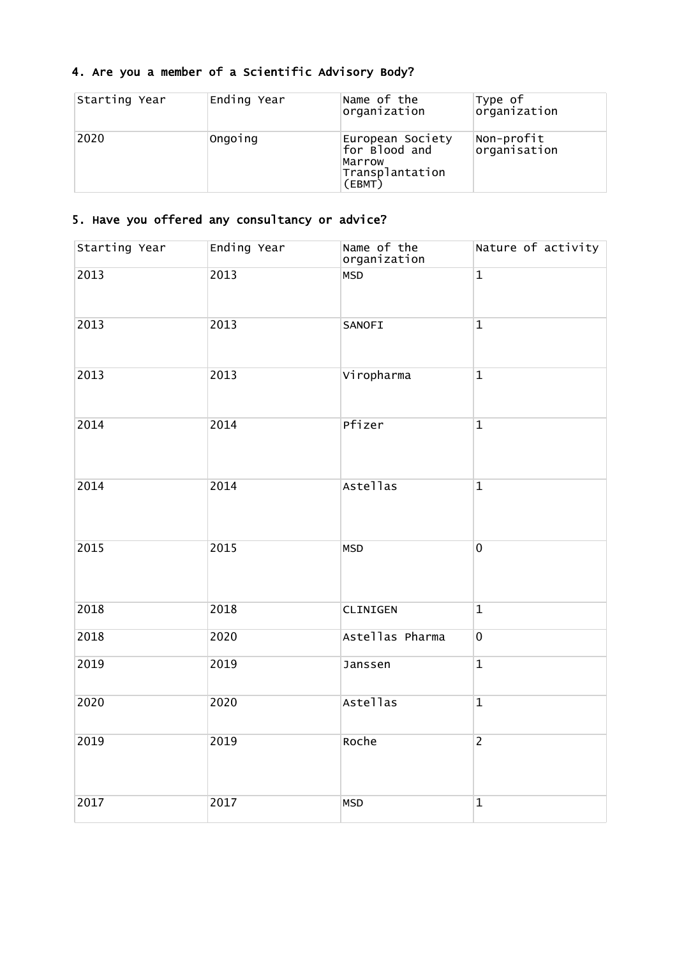## 4. Are you a member of a Scientific Advisory Body?

| Starting Year | Ending Year | Name of the<br>organization                                              | Type of<br>organization    |
|---------------|-------------|--------------------------------------------------------------------------|----------------------------|
| 2020          | Ongoing     | European Society<br>for Blood and<br>Marrow<br>Transplantation<br>(EBMT) | Non-profit<br>organisation |

### 5. Have you offered any consultancy or advice?

| Starting Year | Ending Year | Name of the<br>organization | Nature of activity |
|---------------|-------------|-----------------------------|--------------------|
| 2013          | 2013        | <b>MSD</b>                  | $\overline{1}$     |
| 2013          | 2013        | SANOFI                      | $\overline{1}$     |
| 2013          | 2013        | Viropharma                  | $\mathbf{1}$       |
| 2014          | 2014        | Pfizer                      | $\overline{1}$     |
| 2014          | 2014        | Astellas                    | $\overline{1}$     |
| 2015          | 2015        | <b>MSD</b>                  | $\overline{0}$     |
| 2018          | 2018        | CLINIGEN                    | $\mathbf{1}$       |
| 2018          | 2020        | Astellas Pharma             | $\mathbf 0$        |
| 2019          | 2019        | Janssen                     | $\mathbf 1$        |
| 2020          | 2020        | Astellas                    | $\mathbf{1}$       |
| 2019          | 2019        | Roche                       | $\overline{2}$     |
| 2017          | 2017        | <b>MSD</b>                  | $\mathbf{1}$       |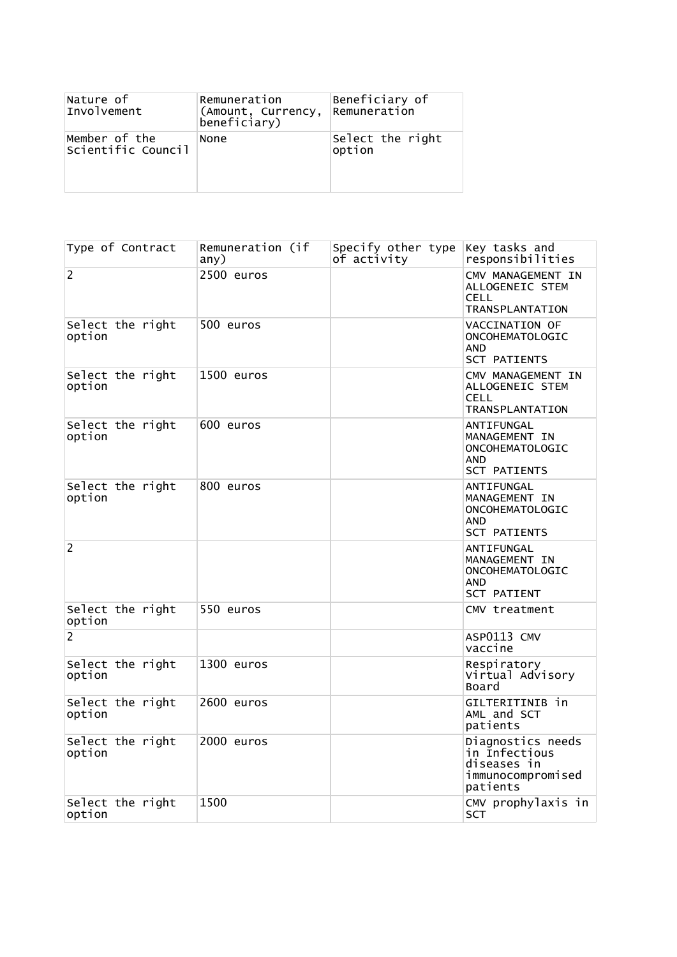| Nature of                           | Remuneration                       | Beneficiary of             |
|-------------------------------------|------------------------------------|----------------------------|
| Involvement                         | (Amount, Currency,<br>beneficiary) | Remuneration               |
| Member of the<br>Scientific Council | None                               | Select the right<br>option |

| Type of Contract           | Remuneration (if<br>any) | Specify other type Key tasks and<br>of activity | responsibilities                                                                   |
|----------------------------|--------------------------|-------------------------------------------------|------------------------------------------------------------------------------------|
| 2                          | 2500 euros               |                                                 | CMV MANAGEMENT IN<br>ALLOGENEIC STEM<br><b>CELL</b><br>TRANSPLANTATION             |
| Select the right<br>option | 500 euros                |                                                 | VACCINATION OF<br>ONCOHEMATOLOGIC<br><b>AND</b><br><b>SCT PATIENTS</b>             |
| Select the right<br>option | 1500 euros               |                                                 | CMV MANAGEMENT IN<br>ALLOGENEIC STEM<br>CELL<br>TRANSPLANTATION                    |
| Select the right<br>option | 600 euros                |                                                 | ANTIFUNGAL<br>MANAGEMENT IN<br>ONCOHEMATOLOGIC<br>AND<br><b>SCT PATIENTS</b>       |
| Select the right<br>option | 800 euros                |                                                 | ANTIFUNGAL<br>MANAGEMENT IN<br>ONCOHEMATOLOGIC<br>AND<br><b>SCT PATIENTS</b>       |
| $\overline{2}$             |                          |                                                 | ANTIFUNGAL<br>MANAGEMENT IN<br>ONCOHEMATOLOGIC<br>AND<br>SCT PATIENT               |
| Select the right<br>option | 550 euros                |                                                 | CMV treatment                                                                      |
| 2                          |                          |                                                 | ASP0113 CMV<br>vaccine                                                             |
| Select the right<br>option | 1300 euros               |                                                 | Respiratory<br>Virtual Advisory<br>Board                                           |
| Select the right<br>option | 2600 euros               |                                                 | GILTERITINIB in<br>AML and SCT<br>patients                                         |
| Select the right<br>option | 2000 euros               |                                                 | Diagnostics needs<br>in Infectious<br>diseases in<br>immunocompromised<br>patients |
| Select the right<br>option | 1500                     |                                                 | CMV prophylaxis in<br>SCT                                                          |